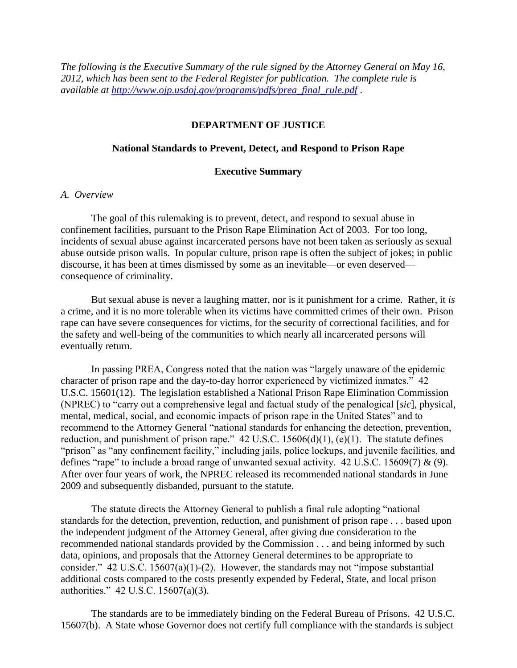*The following is the Executive Summary of the rule signed by the Attorney General on May 16, 2012, which has been sent to the Federal Register for publication. The complete rule is available at [http://www.ojp.usdoj.gov/programs/pdfs/prea\\_final\\_rule.pdf](http://www.ojp.usdoj.gov/programs/pdfs/prea_final_rule.pdf)* .

# **DEPARTMENT OF JUSTICE**

## **National Standards to Prevent, Detect, and Respond to Prison Rape**

#### **Executive Summary**

### *A. Overview*

The goal of this rulemaking is to prevent, detect, and respond to sexual abuse in confinement facilities, pursuant to the Prison Rape Elimination Act of 2003. For too long, incidents of sexual abuse against incarcerated persons have not been taken as seriously as sexual abuse outside prison walls. In popular culture, prison rape is often the subject of jokes; in public discourse, it has been at times dismissed by some as an inevitable—or even deserved consequence of criminality.

But sexual abuse is never a laughing matter, nor is it punishment for a crime. Rather, it *is* a crime, and it is no more tolerable when its victims have committed crimes of their own. Prison rape can have severe consequences for victims, for the security of correctional facilities, and for the safety and well-being of the communities to which nearly all incarcerated persons will eventually return.

In passing PREA, Congress noted that the nation was "largely unaware of the epidemic character of prison rape and the day-to-day horror experienced by victimized inmates." 42 U.S.C. 15601(12). The legislation established a National Prison Rape Elimination Commission (NPREC) to "carry out a comprehensive legal and factual study of the penalogical [*sic*], physical, mental, medical, social, and economic impacts of prison rape in the United States" and to recommend to the Attorney General "national standards for enhancing the detection, prevention, reduction, and punishment of prison rape."  $42 \text{ U.S.C. } 15606\text{(d)}(1)$ , (e)(1). The statute defines "prison" as "any confinement facility," including jails, police lockups, and juvenile facilities, and defines "rape" to include a broad range of unwanted sexual activity. 42 U.S.C. 15609(7) & (9). After over four years of work, the NPREC released its recommended national standards in June 2009 and subsequently disbanded, pursuant to the statute.

The statute directs the Attorney General to publish a final rule adopting "national standards for the detection, prevention, reduction, and punishment of prison rape . . . based upon the independent judgment of the Attorney General, after giving due consideration to the recommended national standards provided by the Commission . . . and being informed by such data, opinions, and proposals that the Attorney General determines to be appropriate to consider." 42 U.S.C. 15607(a)(1)-(2). However, the standards may not "impose substantial additional costs compared to the costs presently expended by Federal, State, and local prison authorities." 42 U.S.C. 15607(a)(3).

The standards are to be immediately binding on the Federal Bureau of Prisons. 42 U.S.C. 15607(b).A State whose Governor does not certify full compliance with the standards is subject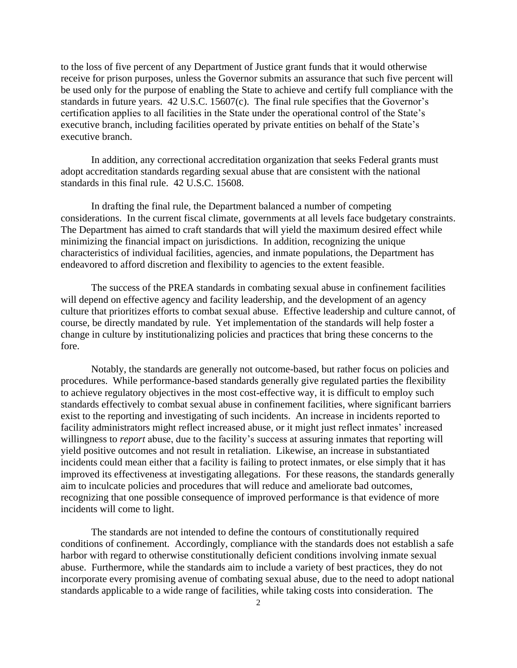to the loss of five percent of any Department of Justice grant funds that it would otherwise receive for prison purposes, unless the Governor submits an assurance that such five percent will be used only for the purpose of enabling the State to achieve and certify full compliance with the standards in future years. 42 U.S.C. 15607(c). The final rule specifies that the Governor's certification applies to all facilities in the State under the operational control of the State's executive branch, including facilities operated by private entities on behalf of the State's executive branch.

In addition, any correctional accreditation organization that seeks Federal grants must adopt accreditation standards regarding sexual abuse that are consistent with the national standards in this final rule. 42 U.S.C. 15608.

In drafting the final rule, the Department balanced a number of competing considerations. In the current fiscal climate, governments at all levels face budgetary constraints. The Department has aimed to craft standards that will yield the maximum desired effect while minimizing the financial impact on jurisdictions. In addition, recognizing the unique characteristics of individual facilities, agencies, and inmate populations, the Department has endeavored to afford discretion and flexibility to agencies to the extent feasible.

The success of the PREA standards in combating sexual abuse in confinement facilities will depend on effective agency and facility leadership, and the development of an agency culture that prioritizes efforts to combat sexual abuse. Effective leadership and culture cannot, of course, be directly mandated by rule. Yet implementation of the standards will help foster a change in culture by institutionalizing policies and practices that bring these concerns to the fore.

Notably, the standards are generally not outcome-based, but rather focus on policies and procedures. While performance-based standards generally give regulated parties the flexibility to achieve regulatory objectives in the most cost-effective way, it is difficult to employ such standards effectively to combat sexual abuse in confinement facilities, where significant barriers exist to the reporting and investigating of such incidents. An increase in incidents reported to facility administrators might reflect increased abuse, or it might just reflect inmates' increased willingness to *report* abuse, due to the facility's success at assuring inmates that reporting will yield positive outcomes and not result in retaliation. Likewise, an increase in substantiated incidents could mean either that a facility is failing to protect inmates, or else simply that it has improved its effectiveness at investigating allegations. For these reasons, the standards generally aim to inculcate policies and procedures that will reduce and ameliorate bad outcomes, recognizing that one possible consequence of improved performance is that evidence of more incidents will come to light.

The standards are not intended to define the contours of constitutionally required conditions of confinement. Accordingly, compliance with the standards does not establish a safe harbor with regard to otherwise constitutionally deficient conditions involving inmate sexual abuse. Furthermore, while the standards aim to include a variety of best practices, they do not incorporate every promising avenue of combating sexual abuse, due to the need to adopt national standards applicable to a wide range of facilities, while taking costs into consideration. The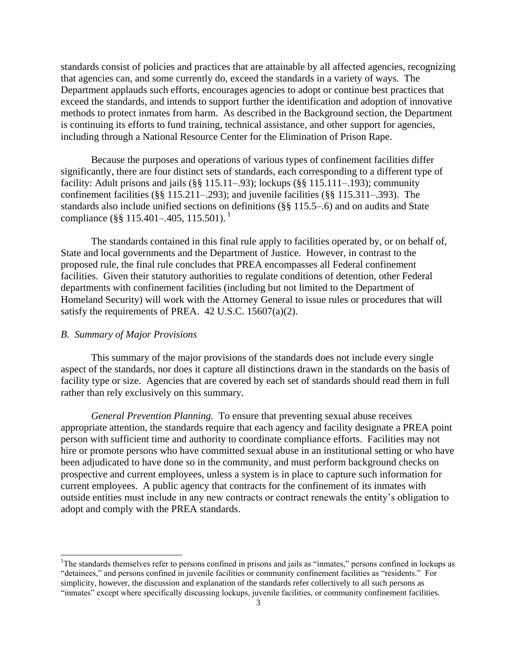standards consist of policies and practices that are attainable by all affected agencies, recognizing that agencies can, and some currently do, exceed the standards in a variety of ways. The Department applauds such efforts, encourages agencies to adopt or continue best practices that exceed the standards, and intends to support further the identification and adoption of innovative methods to protect inmates from harm. As described in the Background section, the Department is continuing its efforts to fund training, technical assistance, and other support for agencies, including through a National Resource Center for the Elimination of Prison Rape.

Because the purposes and operations of various types of confinement facilities differ significantly, there are four distinct sets of standards, each corresponding to a different type of facility: Adult prisons and jails (§§ 115.11–.93); lockups (§§ 115.111–.193); community confinement facilities (§§ 115.211–.293); and juvenile facilities (§§ 115.311–.393). The standards also include unified sections on definitions (§§ 115.5–.6) and on audits and State compliance (§§ 115.401–.405, 115.501).<sup>1</sup>

The standards contained in this final rule apply to facilities operated by, or on behalf of, State and local governments and the Department of Justice. However, in contrast to the proposed rule, the final rule concludes that PREA encompasses all Federal confinement facilities. Given their statutory authorities to regulate conditions of detention, other Federal departments with confinement facilities (including but not limited to the Department of Homeland Security) will work with the Attorney General to issue rules or procedures that will satisfy the requirements of PREA. 42 U.S.C. 15607(a)(2).

## *B. Summary of Major Provisions*

 $\overline{a}$ 

This summary of the major provisions of the standards does not include every single aspect of the standards, nor does it capture all distinctions drawn in the standards on the basis of facility type or size. Agencies that are covered by each set of standards should read them in full rather than rely exclusively on this summary.

*General Prevention Planning.* To ensure that preventing sexual abuse receives appropriate attention, the standards require that each agency and facility designate a PREA point person with sufficient time and authority to coordinate compliance efforts. Facilities may not hire or promote persons who have committed sexual abuse in an institutional setting or who have been adjudicated to have done so in the community, and must perform background checks on prospective and current employees, unless a system is in place to capture such information for current employees. A public agency that contracts for the confinement of its inmates with outside entities must include in any new contracts or contract renewals the entity's obligation to adopt and comply with the PREA standards.

<sup>1</sup>The standards themselves refer to persons confined in prisons and jails as "inmates," persons confined in lockups as "detainees," and persons confined in juvenile facilities or community confinement facilities as "residents." For simplicity, however, the discussion and explanation of the standards refer collectively to all such persons as "inmates" except where specifically discussing lockups, juvenile facilities, or community confinement facilities.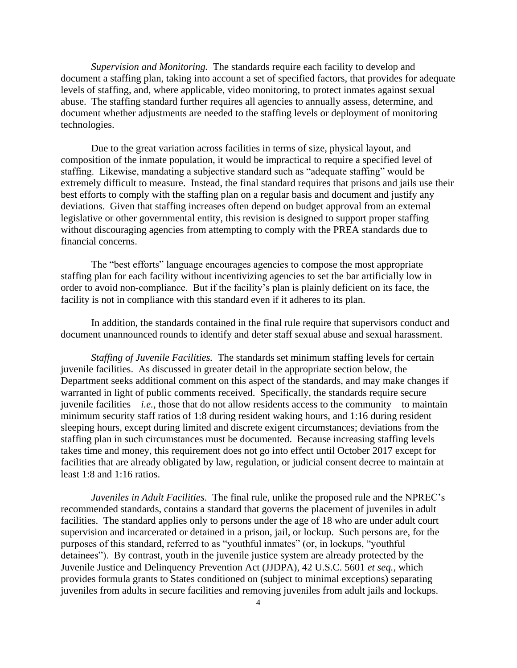*Supervision and Monitoring.* The standards require each facility to develop and document a staffing plan, taking into account a set of specified factors, that provides for adequate levels of staffing, and, where applicable, video monitoring, to protect inmates against sexual abuse. The staffing standard further requires all agencies to annually assess, determine, and document whether adjustments are needed to the staffing levels or deployment of monitoring technologies.

Due to the great variation across facilities in terms of size, physical layout, and composition of the inmate population, it would be impractical to require a specified level of staffing. Likewise, mandating a subjective standard such as "adequate staffing" would be extremely difficult to measure. Instead, the final standard requires that prisons and jails use their best efforts to comply with the staffing plan on a regular basis and document and justify any deviations. Given that staffing increases often depend on budget approval from an external legislative or other governmental entity, this revision is designed to support proper staffing without discouraging agencies from attempting to comply with the PREA standards due to financial concerns.

The "best efforts" language encourages agencies to compose the most appropriate staffing plan for each facility without incentivizing agencies to set the bar artificially low in order to avoid non-compliance. But if the facility's plan is plainly deficient on its face, the facility is not in compliance with this standard even if it adheres to its plan.

In addition, the standards contained in the final rule require that supervisors conduct and document unannounced rounds to identify and deter staff sexual abuse and sexual harassment.

*Staffing of Juvenile Facilities.* The standards set minimum staffing levels for certain juvenile facilities. As discussed in greater detail in the appropriate section below, the Department seeks additional comment on this aspect of the standards, and may make changes if warranted in light of public comments received.Specifically, the standards require secure juvenile facilities—*i.e.*, those that do not allow residents access to the community—to maintain minimum security staff ratios of 1:8 during resident waking hours, and 1:16 during resident sleeping hours, except during limited and discrete exigent circumstances; deviations from the staffing plan in such circumstances must be documented. Because increasing staffing levels takes time and money, this requirement does not go into effect until October 2017 except for facilities that are already obligated by law, regulation, or judicial consent decree to maintain at least 1:8 and 1:16 ratios.

*Juveniles in Adult Facilities.* The final rule, unlike the proposed rule and the NPREC's recommended standards, contains a standard that governs the placement of juveniles in adult facilities. The standard applies only to persons under the age of 18 who are under adult court supervision and incarcerated or detained in a prison, jail, or lockup. Such persons are, for the purposes of this standard, referred to as "youthful inmates" (or, in lockups, "youthful detainees"). By contrast, youth in the juvenile justice system are already protected by the Juvenile Justice and Delinquency Prevention Act (JJDPA), 42 U.S.C. 5601 *et seq.*, which provides formula grants to States conditioned on (subject to minimal exceptions) separating juveniles from adults in secure facilities and removing juveniles from adult jails and lockups.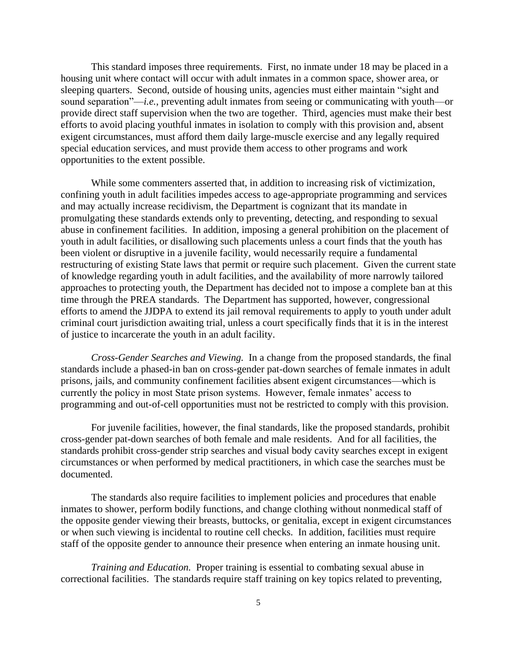This standard imposes three requirements. First, no inmate under 18 may be placed in a housing unit where contact will occur with adult inmates in a common space, shower area, or sleeping quarters. Second, outside of housing units, agencies must either maintain "sight and sound separation"—*i.e.*, preventing adult inmates from seeing or communicating with youth—or provide direct staff supervision when the two are together. Third, agencies must make their best efforts to avoid placing youthful inmates in isolation to comply with this provision and, absent exigent circumstances, must afford them daily large-muscle exercise and any legally required special education services, and must provide them access to other programs and work opportunities to the extent possible.

While some commenters asserted that, in addition to increasing risk of victimization, confining youth in adult facilities impedes access to age-appropriate programming and services and may actually increase recidivism, the Department is cognizant that its mandate in promulgating these standards extends only to preventing, detecting, and responding to sexual abuse in confinement facilities. In addition, imposing a general prohibition on the placement of youth in adult facilities, or disallowing such placements unless a court finds that the youth has been violent or disruptive in a juvenile facility, would necessarily require a fundamental restructuring of existing State laws that permit or require such placement. Given the current state of knowledge regarding youth in adult facilities, and the availability of more narrowly tailored approaches to protecting youth, the Department has decided not to impose a complete ban at this time through the PREA standards. The Department has supported, however, congressional efforts to amend the JJDPA to extend its jail removal requirements to apply to youth under adult criminal court jurisdiction awaiting trial, unless a court specifically finds that it is in the interest of justice to incarcerate the youth in an adult facility.

*Cross-Gender Searches and Viewing.* In a change from the proposed standards, the final standards include a phased-in ban on cross-gender pat-down searches of female inmates in adult prisons, jails, and community confinement facilities absent exigent circumstances—which is currently the policy in most State prison systems. However, female inmates' access to programming and out-of-cell opportunities must not be restricted to comply with this provision.

For juvenile facilities, however, the final standards, like the proposed standards, prohibit cross-gender pat-down searches of both female and male residents. And for all facilities, the standards prohibit cross-gender strip searches and visual body cavity searches except in exigent circumstances or when performed by medical practitioners, in which case the searches must be documented.

The standards also require facilities to implement policies and procedures that enable inmates to shower, perform bodily functions, and change clothing without nonmedical staff of the opposite gender viewing their breasts, buttocks, or genitalia, except in exigent circumstances or when such viewing is incidental to routine cell checks. In addition, facilities must require staff of the opposite gender to announce their presence when entering an inmate housing unit.

*Training and Education.* Proper training is essential to combating sexual abuse in correctional facilities. The standards require staff training on key topics related to preventing,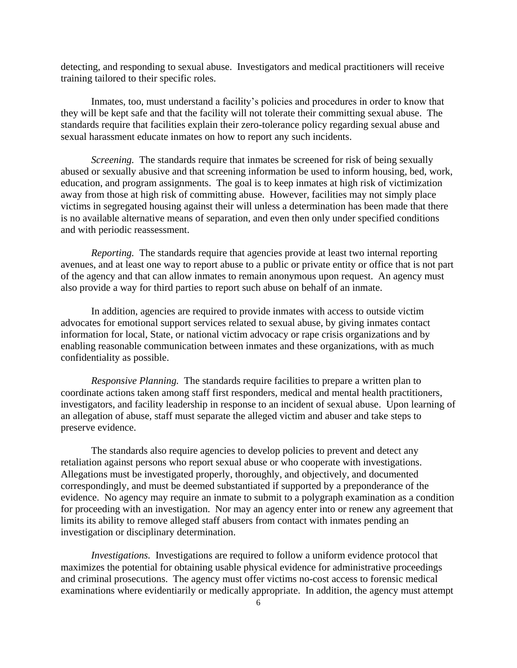detecting, and responding to sexual abuse. Investigators and medical practitioners will receive training tailored to their specific roles.

Inmates, too, must understand a facility's policies and procedures in order to know that they will be kept safe and that the facility will not tolerate their committing sexual abuse. The standards require that facilities explain their zero-tolerance policy regarding sexual abuse and sexual harassment educate inmates on how to report any such incidents.

*Screening.* The standards require that inmates be screened for risk of being sexually abused or sexually abusive and that screening information be used to inform housing, bed, work, education, and program assignments. The goal is to keep inmates at high risk of victimization away from those at high risk of committing abuse. However, facilities may not simply place victims in segregated housing against their will unless a determination has been made that there is no available alternative means of separation, and even then only under specified conditions and with periodic reassessment.

*Reporting.* The standards require that agencies provide at least two internal reporting avenues, and at least one way to report abuse to a public or private entity or office that is not part of the agency and that can allow inmates to remain anonymous upon request. An agency must also provide a way for third parties to report such abuse on behalf of an inmate.

In addition, agencies are required to provide inmates with access to outside victim advocates for emotional support services related to sexual abuse, by giving inmates contact information for local, State, or national victim advocacy or rape crisis organizations and by enabling reasonable communication between inmates and these organizations, with as much confidentiality as possible.

*Responsive Planning.* The standards require facilities to prepare a written plan to coordinate actions taken among staff first responders, medical and mental health practitioners, investigators, and facility leadership in response to an incident of sexual abuse. Upon learning of an allegation of abuse, staff must separate the alleged victim and abuser and take steps to preserve evidence.

The standards also require agencies to develop policies to prevent and detect any retaliation against persons who report sexual abuse or who cooperate with investigations. Allegations must be investigated properly, thoroughly, and objectively, and documented correspondingly, and must be deemed substantiated if supported by a preponderance of the evidence. No agency may require an inmate to submit to a polygraph examination as a condition for proceeding with an investigation. Nor may an agency enter into or renew any agreement that limits its ability to remove alleged staff abusers from contact with inmates pending an investigation or disciplinary determination.

*Investigations.* Investigations are required to follow a uniform evidence protocol that maximizes the potential for obtaining usable physical evidence for administrative proceedings and criminal prosecutions. The agency must offer victims no-cost access to forensic medical examinations where evidentiarily or medically appropriate. In addition, the agency must attempt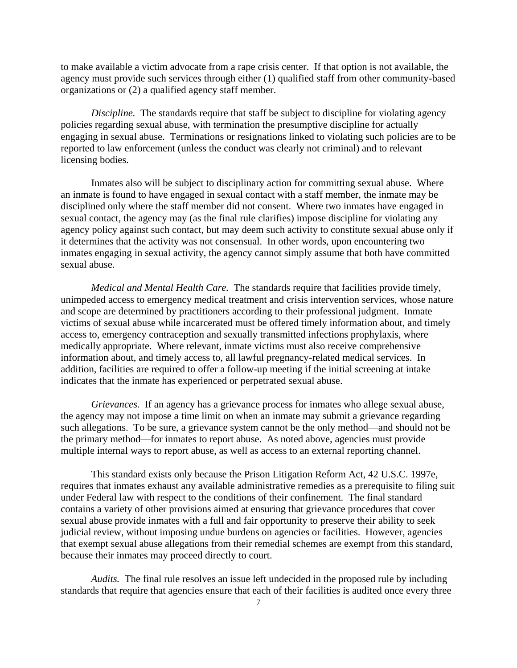to make available a victim advocate from a rape crisis center. If that option is not available, the agency must provide such services through either (1) qualified staff from other community-based organizations or (2) a qualified agency staff member.

*Discipline.* The standards require that staff be subject to discipline for violating agency policies regarding sexual abuse, with termination the presumptive discipline for actually engaging in sexual abuse. Terminations or resignations linked to violating such policies are to be reported to law enforcement (unless the conduct was clearly not criminal) and to relevant licensing bodies.

Inmates also will be subject to disciplinary action for committing sexual abuse. Where an inmate is found to have engaged in sexual contact with a staff member, the inmate may be disciplined only where the staff member did not consent. Where two inmates have engaged in sexual contact, the agency may (as the final rule clarifies) impose discipline for violating any agency policy against such contact, but may deem such activity to constitute sexual abuse only if it determines that the activity was not consensual. In other words, upon encountering two inmates engaging in sexual activity, the agency cannot simply assume that both have committed sexual abuse.

*Medical and Mental Health Care.* The standards require that facilities provide timely, unimpeded access to emergency medical treatment and crisis intervention services, whose nature and scope are determined by practitioners according to their professional judgment. Inmate victims of sexual abuse while incarcerated must be offered timely information about, and timely access to, emergency contraception and sexually transmitted infections prophylaxis, where medically appropriate. Where relevant, inmate victims must also receive comprehensive information about, and timely access to, all lawful pregnancy-related medical services. In addition, facilities are required to offer a follow-up meeting if the initial screening at intake indicates that the inmate has experienced or perpetrated sexual abuse.

*Grievances.* If an agency has a grievance process for inmates who allege sexual abuse, the agency may not impose a time limit on when an inmate may submit a grievance regarding such allegations. To be sure, a grievance system cannot be the only method—and should not be the primary method—for inmates to report abuse. As noted above, agencies must provide multiple internal ways to report abuse, as well as access to an external reporting channel.

This standard exists only because the Prison Litigation Reform Act, 42 U.S.C. 1997e, requires that inmates exhaust any available administrative remedies as a prerequisite to filing suit under Federal law with respect to the conditions of their confinement. The final standard contains a variety of other provisions aimed at ensuring that grievance procedures that cover sexual abuse provide inmates with a full and fair opportunity to preserve their ability to seek judicial review, without imposing undue burdens on agencies or facilities. However, agencies that exempt sexual abuse allegations from their remedial schemes are exempt from this standard, because their inmates may proceed directly to court.

*Audits.* The final rule resolves an issue left undecided in the proposed rule by including standards that require that agencies ensure that each of their facilities is audited once every three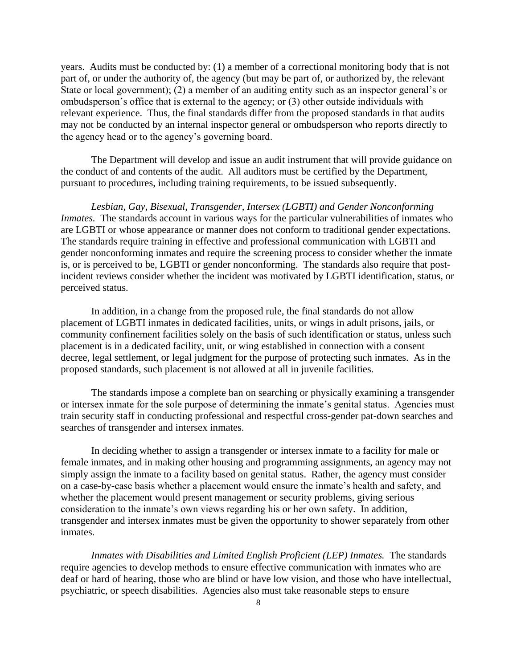years. Audits must be conducted by: (1) a member of a correctional monitoring body that is not part of, or under the authority of, the agency (but may be part of, or authorized by, the relevant State or local government); (2) a member of an auditing entity such as an inspector general's or ombudsperson's office that is external to the agency; or (3) other outside individuals with relevant experience. Thus, the final standards differ from the proposed standards in that audits may not be conducted by an internal inspector general or ombudsperson who reports directly to the agency head or to the agency's governing board.

The Department will develop and issue an audit instrument that will provide guidance on the conduct of and contents of the audit. All auditors must be certified by the Department, pursuant to procedures, including training requirements, to be issued subsequently.

*Lesbian, Gay, Bisexual, Transgender, Intersex (LGBTI) and Gender Nonconforming Inmates.* The standards account in various ways for the particular vulnerabilities of inmates who are LGBTI or whose appearance or manner does not conform to traditional gender expectations. The standards require training in effective and professional communication with LGBTI and gender nonconforming inmates and require the screening process to consider whether the inmate is, or is perceived to be, LGBTI or gender nonconforming. The standards also require that postincident reviews consider whether the incident was motivated by LGBTI identification, status, or perceived status.

In addition, in a change from the proposed rule, the final standards do not allow placement of LGBTI inmates in dedicated facilities, units, or wings in adult prisons, jails, or community confinement facilities solely on the basis of such identification or status, unless such placement is in a dedicated facility, unit, or wing established in connection with a consent decree, legal settlement, or legal judgment for the purpose of protecting such inmates. As in the proposed standards, such placement is not allowed at all in juvenile facilities.

The standards impose a complete ban on searching or physically examining a transgender or intersex inmate for the sole purpose of determining the inmate's genital status. Agencies must train security staff in conducting professional and respectful cross-gender pat-down searches and searches of transgender and intersex inmates.

In deciding whether to assign a transgender or intersex inmate to a facility for male or female inmates, and in making other housing and programming assignments, an agency may not simply assign the inmate to a facility based on genital status. Rather, the agency must consider on a case-by-case basis whether a placement would ensure the inmate's health and safety, and whether the placement would present management or security problems, giving serious consideration to the inmate's own views regarding his or her own safety. In addition, transgender and intersex inmates must be given the opportunity to shower separately from other inmates.

*Inmates with Disabilities and Limited English Proficient (LEP) Inmates.* The standards require agencies to develop methods to ensure effective communication with inmates who are deaf or hard of hearing, those who are blind or have low vision, and those who have intellectual, psychiatric, or speech disabilities. Agencies also must take reasonable steps to ensure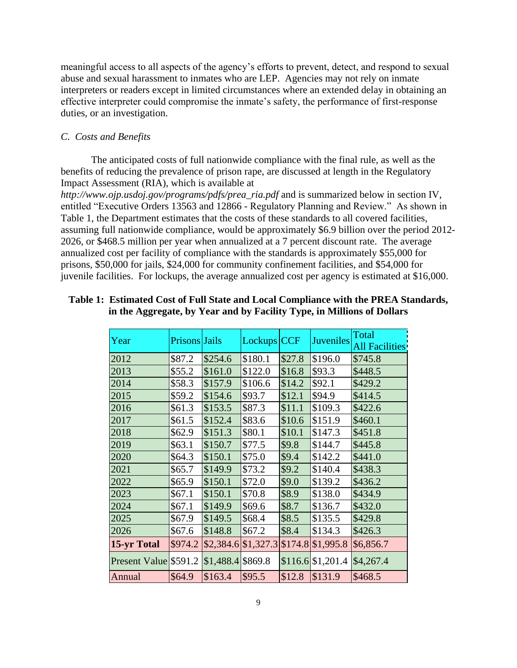meaningful access to all aspects of the agency's efforts to prevent, detect, and respond to sexual abuse and sexual harassment to inmates who are LEP. Agencies may not rely on inmate interpreters or readers except in limited circumstances where an extended delay in obtaining an effective interpreter could compromise the inmate's safety, the performance of first-response duties, or an investigation.

## *C. Costs and Benefits*

The anticipated costs of full nationwide compliance with the final rule, as well as the benefits of reducing the prevalence of prison rape, are discussed at length in the Regulatory Impact Assessment (RIA), which is available at

*http://www.ojp.usdoj.gov/programs/pdfs/prea*\_*ria.pdf* and is summarized below in section IV, entitled "Executive Orders 13563 and 12866 - Regulatory Planning and Review." As shown in Table 1, the Department estimates that the costs of these standards to all covered facilities, assuming full nationwide compliance, would be approximately \$6.9 billion over the period 2012- 2026, or \$468.5 million per year when annualized at a 7 percent discount rate. The average annualized cost per facility of compliance with the standards is approximately \$55,000 for prisons, \$50,000 for jails, \$24,000 for community confinement facilities, and \$54,000 for juvenile facilities. For lockups, the average annualized cost per agency is estimated at \$16,000.

| Year                  | Prisons Jails |                    | Lockups CCF         |        | Juveniles           | Total                 |
|-----------------------|---------------|--------------------|---------------------|--------|---------------------|-----------------------|
|                       |               |                    |                     |        |                     | <b>All Facilities</b> |
| 2012                  | \$87.2        | \$254.6            | \$180.1             | \$27.8 | \$196.0             | \$745.8               |
| 2013                  | \$55.2        | \$161.0            | \$122.0             | \$16.8 | \$93.3              | \$448.5               |
| 2014                  | \$58.3        | \$157.9            | \$106.6             | \$14.2 | \$92.1              | \$429.2               |
| 2015                  | \$59.2        | \$154.6            | \$93.7              | \$12.1 | \$94.9              | \$414.5               |
| 2016                  | \$61.3        | \$153.5            | \$87.3              | \$11.1 | \$109.3             | \$422.6               |
| 2017                  | \$61.5        | \$152.4            | \$83.6              | \$10.6 | \$151.9             | \$460.1               |
| 2018                  | \$62.9        | \$151.3            | \$80.1              | \$10.1 | \$147.3             | \$451.8               |
| 2019                  | \$63.1        | \$150.7            | \$77.5              | \$9.8  | \$144.7             | \$445.8               |
| 2020                  | \$64.3        | \$150.1            | \$75.0              | \$9.4  | \$142.2             | \$441.0               |
| 2021                  | \$65.7        | \$149.9            | \$73.2              | \$9.2  | \$140.4             | \$438.3               |
| 2022                  | \$65.9        | \$150.1            | \$72.0              | \$9.0  | \$139.2             | \$436.2               |
| 2023                  | \$67.1        | \$150.1            | \$70.8              | \$8.9  | \$138.0             | \$434.9               |
| 2024                  | \$67.1        | \$149.9            | \$69.6              | \$8.7  | \$136.7             | \$432.0               |
| 2025                  | \$67.9        | \$149.5            | \$68.4              | \$8.5  | \$135.5             | \$429.8               |
| 2026                  | \$67.6        | \$148.8            | \$67.2              | \$8.4  | \$134.3             | \$426.3               |
| 15-yr Total           | \$974.2       | \$2,384.6          | $$1,327.3$ $$174.8$ |        | \$1,995.8           | \$6,856.7             |
| Present Value \$591.2 |               | $$1,488.4$ \$869.8 |                     |        | $$116.6$ $$1,201.4$ | \$4,267.4             |
| Annual                | \$64.9        | \$163.4            | \$95.5              | \$12.8 | \$131.9             | \$468.5               |

## **Table 1: Estimated Cost of Full State and Local Compliance with the PREA Standards, in the Aggregate, by Year and by Facility Type, in Millions of Dollars**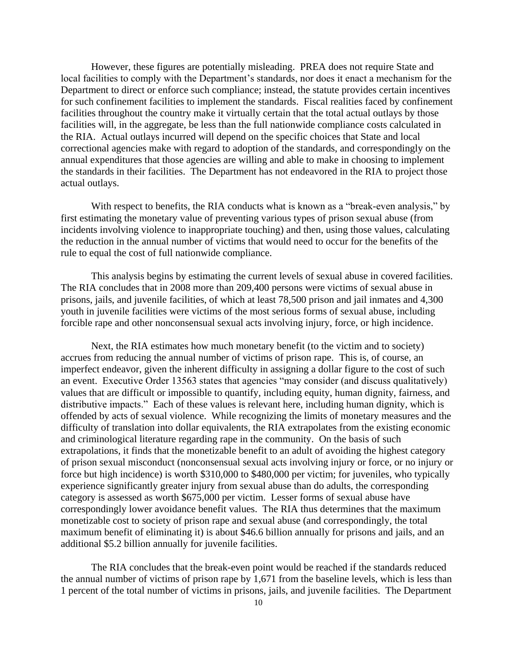However, these figures are potentially misleading. PREA does not require State and local facilities to comply with the Department's standards, nor does it enact a mechanism for the Department to direct or enforce such compliance; instead, the statute provides certain incentives for such confinement facilities to implement the standards. Fiscal realities faced by confinement facilities throughout the country make it virtually certain that the total actual outlays by those facilities will, in the aggregate, be less than the full nationwide compliance costs calculated in the RIA. Actual outlays incurred will depend on the specific choices that State and local correctional agencies make with regard to adoption of the standards, and correspondingly on the annual expenditures that those agencies are willing and able to make in choosing to implement the standards in their facilities. The Department has not endeavored in the RIA to project those actual outlays.

With respect to benefits, the RIA conducts what is known as a "break-even analysis," by first estimating the monetary value of preventing various types of prison sexual abuse (from incidents involving violence to inappropriate touching) and then, using those values, calculating the reduction in the annual number of victims that would need to occur for the benefits of the rule to equal the cost of full nationwide compliance.

This analysis begins by estimating the current levels of sexual abuse in covered facilities. The RIA concludes that in 2008 more than 209,400 persons were victims of sexual abuse in prisons, jails, and juvenile facilities, of which at least 78,500 prison and jail inmates and 4,300 youth in juvenile facilities were victims of the most serious forms of sexual abuse, including forcible rape and other nonconsensual sexual acts involving injury, force, or high incidence.

Next, the RIA estimates how much monetary benefit (to the victim and to society) accrues from reducing the annual number of victims of prison rape. This is, of course, an imperfect endeavor, given the inherent difficulty in assigning a dollar figure to the cost of such an event. Executive Order 13563 states that agencies "may consider (and discuss qualitatively) values that are difficult or impossible to quantify, including equity, human dignity, fairness, and distributive impacts." Each of these values is relevant here, including human dignity, which is offended by acts of sexual violence. While recognizing the limits of monetary measures and the difficulty of translation into dollar equivalents, the RIA extrapolates from the existing economic and criminological literature regarding rape in the community. On the basis of such extrapolations, it finds that the monetizable benefit to an adult of avoiding the highest category of prison sexual misconduct (nonconsensual sexual acts involving injury or force, or no injury or force but high incidence) is worth \$310,000 to \$480,000 per victim; for juveniles, who typically experience significantly greater injury from sexual abuse than do adults, the corresponding category is assessed as worth \$675,000 per victim. Lesser forms of sexual abuse have correspondingly lower avoidance benefit values. The RIA thus determines that the maximum monetizable cost to society of prison rape and sexual abuse (and correspondingly, the total maximum benefit of eliminating it) is about \$46.6 billion annually for prisons and jails, and an additional \$5.2 billion annually for juvenile facilities.

The RIA concludes that the break-even point would be reached if the standards reduced the annual number of victims of prison rape by 1,671 from the baseline levels, which is less than 1 percent of the total number of victims in prisons, jails, and juvenile facilities. The Department